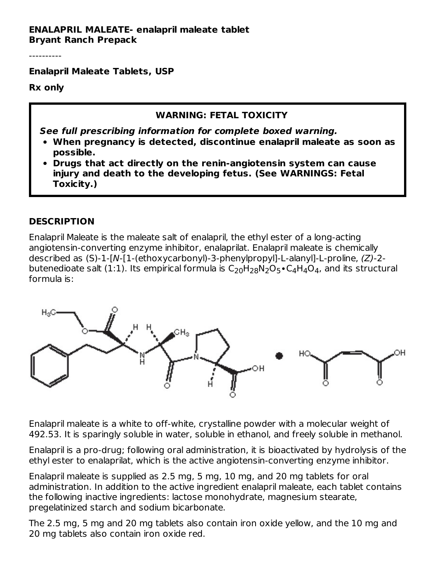### **ENALAPRIL MALEATE- enalapril maleate tablet Bryant Ranch Prepack**

----------

**Enalapril Maleate Tablets, USP**

**Rx only**

#### **WARNING: FETAL TOXICITY**

**See full prescribing information for complete boxed warning.**

- **When pregnancy is detected, discontinue enalapril maleate as soon as possible.**
- **Drugs that act directly on the renin-angiotensin system can cause injury and death to the developing fetus. (See WARNINGS: Fetal Toxicity.)**

### **DESCRIPTION**

Enalapril Maleate is the maleate salt of enalapril, the ethyl ester of a long-acting angiotensin-converting enzyme inhibitor, enalaprilat. Enalapril maleate is chemically described as (S)-1-[N-[1-(ethoxycarbonyl)-3-phenylpropyl]-L-alanyl]-L-proline, (Z)-2 butenedioate salt (1:1). Its empirical formula is  $\mathsf{C}_2{}_{0}\mathsf{H}_2{}_{8}\mathsf{N}_2\mathsf{O}_5\bullet \mathsf{C}_4\mathsf{H}_4\mathsf{O}_4$ , and its structural formula is:



Enalapril maleate is a white to off-white, crystalline powder with a molecular weight of 492.53. It is sparingly soluble in water, soluble in ethanol, and freely soluble in methanol.

Enalapril is a pro-drug; following oral administration, it is bioactivated by hydrolysis of the ethyl ester to enalaprilat, which is the active angiotensin-converting enzyme inhibitor.

Enalapril maleate is supplied as 2.5 mg, 5 mg, 10 mg, and 20 mg tablets for oral administration. In addition to the active ingredient enalapril maleate, each tablet contains the following inactive ingredients: lactose monohydrate, magnesium stearate, pregelatinized starch and sodium bicarbonate.

The 2.5 mg, 5 mg and 20 mg tablets also contain iron oxide yellow, and the 10 mg and 20 mg tablets also contain iron oxide red.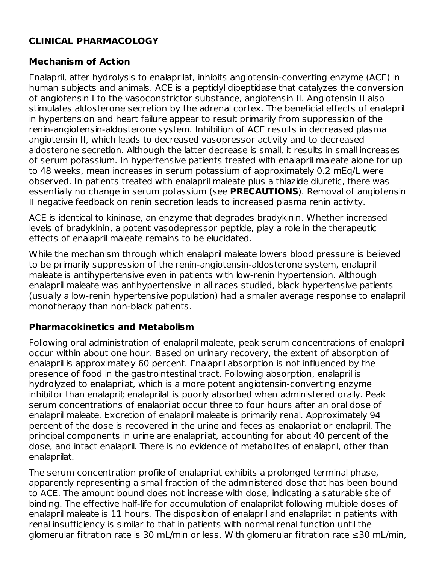## **CLINICAL PHARMACOLOGY**

### **Mechanism of Action**

Enalapril, after hydrolysis to enalaprilat, inhibits angiotensin-converting enzyme (ACE) in human subjects and animals. ACE is a peptidyl dipeptidase that catalyzes the conversion of angiotensin I to the vasoconstrictor substance, angiotensin II. Angiotensin II also stimulates aldosterone secretion by the adrenal cortex. The beneficial effects of enalapril in hypertension and heart failure appear to result primarily from suppression of the renin-angiotensin-aldosterone system. Inhibition of ACE results in decreased plasma angiotensin II, which leads to decreased vasopressor activity and to decreased aldosterone secretion. Although the latter decrease is small, it results in small increases of serum potassium. In hypertensive patients treated with enalapril maleate alone for up to 48 weeks, mean increases in serum potassium of approximately 0.2 mEq/L were observed. In patients treated with enalapril maleate plus a thiazide diuretic, there was essentially no change in serum potassium (see **PRECAUTIONS**). Removal of angiotensin II negative feedback on renin secretion leads to increased plasma renin activity.

ACE is identical to kininase, an enzyme that degrades bradykinin. Whether increased levels of bradykinin, a potent vasodepressor peptide, play a role in the therapeutic effects of enalapril maleate remains to be elucidated.

While the mechanism through which enalapril maleate lowers blood pressure is believed to be primarily suppression of the renin-angiotensin-aldosterone system, enalapril maleate is antihypertensive even in patients with low-renin hypertension. Although enalapril maleate was antihypertensive in all races studied, black hypertensive patients (usually a low-renin hypertensive population) had a smaller average response to enalapril monotherapy than non-black patients.

## **Pharmacokinetics and Metabolism**

Following oral administration of enalapril maleate, peak serum concentrations of enalapril occur within about one hour. Based on urinary recovery, the extent of absorption of enalapril is approximately 60 percent. Enalapril absorption is not influenced by the presence of food in the gastrointestinal tract. Following absorption, enalapril is hydrolyzed to enalaprilat, which is a more potent angiotensin-converting enzyme inhibitor than enalapril; enalaprilat is poorly absorbed when administered orally. Peak serum concentrations of enalaprilat occur three to four hours after an oral dose of enalapril maleate. Excretion of enalapril maleate is primarily renal. Approximately 94 percent of the dose is recovered in the urine and feces as enalaprilat or enalapril. The principal components in urine are enalaprilat, accounting for about 40 percent of the dose, and intact enalapril. There is no evidence of metabolites of enalapril, other than enalaprilat.

The serum concentration profile of enalaprilat exhibits a prolonged terminal phase, apparently representing a small fraction of the administered dose that has been bound to ACE. The amount bound does not increase with dose, indicating a saturable site of binding. The effective half-life for accumulation of enalaprilat following multiple doses of enalapril maleate is 11 hours. The disposition of enalapril and enalaprilat in patients with renal insufficiency is similar to that in patients with normal renal function until the glomerular filtration rate is 30 mL/min or less. With glomerular filtration rate ≤30 mL/min,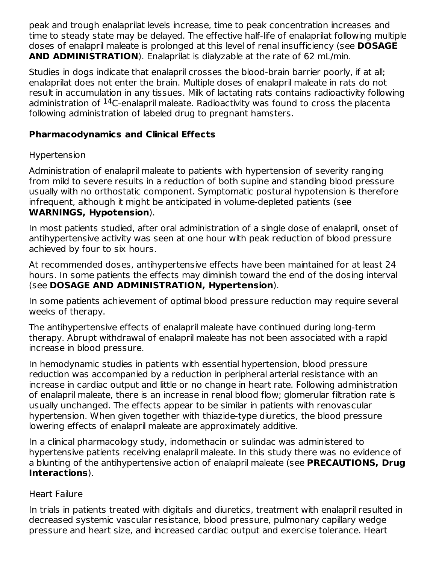peak and trough enalaprilat levels increase, time to peak concentration increases and time to steady state may be delayed. The effective half-life of enalaprilat following multiple doses of enalapril maleate is prolonged at this level of renal insufficiency (see **DOSAGE AND ADMINISTRATION**). Enalaprilat is dialyzable at the rate of 62 mL/min.

Studies in dogs indicate that enalapril crosses the blood-brain barrier poorly, if at all; enalaprilat does not enter the brain. Multiple doses of enalapril maleate in rats do not result in accumulation in any tissues. Milk of lactating rats contains radioactivity following administration of  $^{14}$ C-enalapril maleate. Radioactivity was found to cross the placenta following administration of labeled drug to pregnant hamsters.

## **Pharmacodynamics and Clinical Effects**

## Hypertension

Administration of enalapril maleate to patients with hypertension of severity ranging from mild to severe results in a reduction of both supine and standing blood pressure usually with no orthostatic component. Symptomatic postural hypotension is therefore infrequent, although it might be anticipated in volume-depleted patients (see **WARNINGS, Hypotension**).

In most patients studied, after oral administration of a single dose of enalapril, onset of antihypertensive activity was seen at one hour with peak reduction of blood pressure achieved by four to six hours.

At recommended doses, antihypertensive effects have been maintained for at least 24 hours. In some patients the effects may diminish toward the end of the dosing interval (see **DOSAGE AND ADMINISTRATION, Hypertension**).

In some patients achievement of optimal blood pressure reduction may require several weeks of therapy.

The antihypertensive effects of enalapril maleate have continued during long-term therapy. Abrupt withdrawal of enalapril maleate has not been associated with a rapid increase in blood pressure.

In hemodynamic studies in patients with essential hypertension, blood pressure reduction was accompanied by a reduction in peripheral arterial resistance with an increase in cardiac output and little or no change in heart rate. Following administration of enalapril maleate, there is an increase in renal blood flow; glomerular filtration rate is usually unchanged. The effects appear to be similar in patients with renovascular hypertension. When given together with thiazide-type diuretics, the blood pressure lowering effects of enalapril maleate are approximately additive.

In a clinical pharmacology study, indomethacin or sulindac was administered to hypertensive patients receiving enalapril maleate. In this study there was no evidence of a blunting of the antihypertensive action of enalapril maleate (see **PRECAUTIONS, Drug Interactions**).

## Heart Failure

In trials in patients treated with digitalis and diuretics, treatment with enalapril resulted in decreased systemic vascular resistance, blood pressure, pulmonary capillary wedge pressure and heart size, and increased cardiac output and exercise tolerance. Heart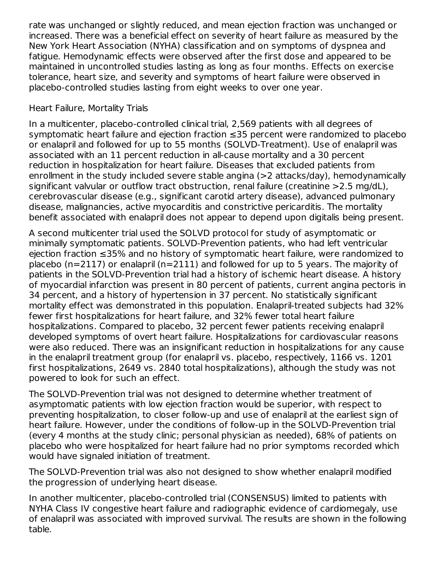rate was unchanged or slightly reduced, and mean ejection fraction was unchanged or increased. There was a beneficial effect on severity of heart failure as measured by the New York Heart Association (NYHA) classification and on symptoms of dyspnea and fatigue. Hemodynamic effects were observed after the first dose and appeared to be maintained in uncontrolled studies lasting as long as four months. Effects on exercise tolerance, heart size, and severity and symptoms of heart failure were observed in placebo-controlled studies lasting from eight weeks to over one year.

### Heart Failure, Mortality Trials

In a multicenter, placebo-controlled clinical trial, 2,569 patients with all degrees of symptomatic heart failure and ejection fraction ≤35 percent were randomized to placebo or enalapril and followed for up to 55 months (SOLVD-Treatment). Use of enalapril was associated with an 11 percent reduction in all-cause mortality and a 30 percent reduction in hospitalization for heart failure. Diseases that excluded patients from enrollment in the study included severe stable angina (>2 attacks/day), hemodynamically significant valvular or outflow tract obstruction, renal failure (creatinine >2.5 mg/dL), cerebrovascular disease (e.g., significant carotid artery disease), advanced pulmonary disease, malignancies, active myocarditis and constrictive pericarditis. The mortality benefit associated with enalapril does not appear to depend upon digitalis being present.

A second multicenter trial used the SOLVD protocol for study of asymptomatic or minimally symptomatic patients. SOLVD-Prevention patients, who had left ventricular ejection fraction ≤35% and no history of symptomatic heart failure, were randomized to placebo (n=2117) or enalapril (n=2111) and followed for up to 5 years. The majority of patients in the SOLVD-Prevention trial had a history of ischemic heart disease. A history of myocardial infarction was present in 80 percent of patients, current angina pectoris in 34 percent, and a history of hypertension in 37 percent. No statistically significant mortality effect was demonstrated in this population. Enalapril-treated subjects had 32% fewer first hospitalizations for heart failure, and 32% fewer total heart failure hospitalizations. Compared to placebo, 32 percent fewer patients receiving enalapril developed symptoms of overt heart failure. Hospitalizations for cardiovascular reasons were also reduced. There was an insignificant reduction in hospitalizations for any cause in the enalapril treatment group (for enalapril vs. placebo, respectively, 1166 vs. 1201 first hospitalizations, 2649 vs. 2840 total hospitalizations), although the study was not powered to look for such an effect.

The SOLVD-Prevention trial was not designed to determine whether treatment of asymptomatic patients with low ejection fraction would be superior, with respect to preventing hospitalization, to closer follow-up and use of enalapril at the earliest sign of heart failure. However, under the conditions of follow-up in the SOLVD-Prevention trial (every 4 months at the study clinic; personal physician as needed), 68% of patients on placebo who were hospitalized for heart failure had no prior symptoms recorded which would have signaled initiation of treatment.

The SOLVD-Prevention trial was also not designed to show whether enalapril modified the progression of underlying heart disease.

In another multicenter, placebo-controlled trial (CONSENSUS) limited to patients with NYHA Class IV congestive heart failure and radiographic evidence of cardiomegaly, use of enalapril was associated with improved survival. The results are shown in the following table.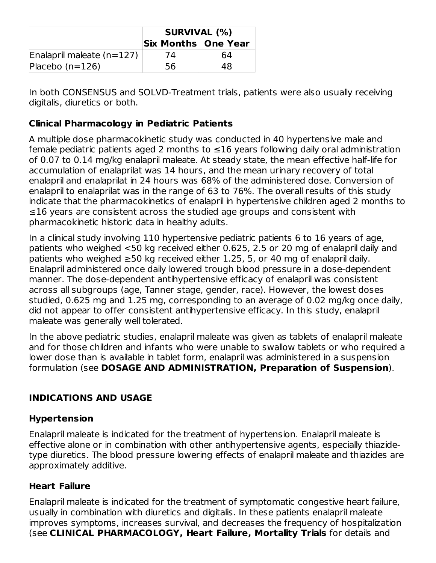|                             | <b>SURVIVAL (%)</b>        |    |
|-----------------------------|----------------------------|----|
|                             | <b>Six Months One Year</b> |    |
| Enalapril maleate $(n=127)$ | 74                         | 64 |
| Placebo $(n=126)$           | 56                         | 48 |

In both CONSENSUS and SOLVD-Treatment trials, patients were also usually receiving digitalis, diuretics or both.

### **Clinical Pharmacology in Pediatric Patients**

A multiple dose pharmacokinetic study was conducted in 40 hypertensive male and female pediatric patients aged 2 months to  $\leq$ 16 years following daily oral administration of 0.07 to 0.14 mg/kg enalapril maleate. At steady state, the mean effective half-life for accumulation of enalaprilat was 14 hours, and the mean urinary recovery of total enalapril and enalaprilat in 24 hours was 68% of the administered dose. Conversion of enalapril to enalaprilat was in the range of 63 to 76%. The overall results of this study indicate that the pharmacokinetics of enalapril in hypertensive children aged 2 months to ≤16 years are consistent across the studied age groups and consistent with pharmacokinetic historic data in healthy adults.

In a clinical study involving 110 hypertensive pediatric patients 6 to 16 years of age, patients who weighed <50 kg received either 0.625, 2.5 or 20 mg of enalapril daily and patients who weighed ≥50 kg received either 1.25, 5, or 40 mg of enalapril daily. Enalapril administered once daily lowered trough blood pressure in a dose-dependent manner. The dose-dependent antihypertensive efficacy of enalapril was consistent across all subgroups (age, Tanner stage, gender, race). However, the lowest doses studied, 0.625 mg and 1.25 mg, corresponding to an average of 0.02 mg/kg once daily, did not appear to offer consistent antihypertensive efficacy. In this study, enalapril maleate was generally well tolerated.

In the above pediatric studies, enalapril maleate was given as tablets of enalapril maleate and for those children and infants who were unable to swallow tablets or who required a lower dose than is available in tablet form, enalapril was administered in a suspension formulation (see **DOSAGE AND ADMINISTRATION, Preparation of Suspension**).

## **INDICATIONS AND USAGE**

### **Hypertension**

Enalapril maleate is indicated for the treatment of hypertension. Enalapril maleate is effective alone or in combination with other antihypertensive agents, especially thiazidetype diuretics. The blood pressure lowering effects of enalapril maleate and thiazides are approximately additive.

### **Heart Failure**

Enalapril maleate is indicated for the treatment of symptomatic congestive heart failure, usually in combination with diuretics and digitalis. In these patients enalapril maleate improves symptoms, increases survival, and decreases the frequency of hospitalization (see **CLINICAL PHARMACOLOGY, Heart Failure, Mortality Trials** for details and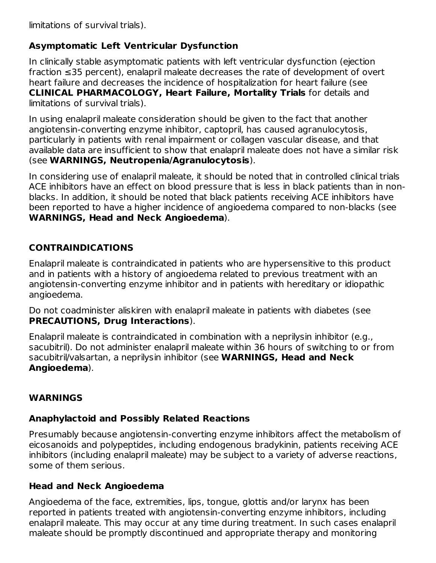limitations of survival trials).

## **Asymptomatic Left Ventricular Dysfunction**

In clinically stable asymptomatic patients with left ventricular dysfunction (ejection fraction ≤35 percent), enalapril maleate decreases the rate of development of overt heart failure and decreases the incidence of hospitalization for heart failure (see **CLINICAL PHARMACOLOGY, Heart Failure, Mortality Trials** for details and limitations of survival trials).

In using enalapril maleate consideration should be given to the fact that another angiotensin-converting enzyme inhibitor, captopril, has caused agranulocytosis, particularly in patients with renal impairment or collagen vascular disease, and that available data are insufficient to show that enalapril maleate does not have a similar risk (see **WARNINGS, Neutropenia/Agranulocytosis**).

In considering use of enalapril maleate, it should be noted that in controlled clinical trials ACE inhibitors have an effect on blood pressure that is less in black patients than in nonblacks. In addition, it should be noted that black patients receiving ACE inhibitors have been reported to have a higher incidence of angioedema compared to non-blacks (see **WARNINGS, Head and Neck Angioedema**).

## **CONTRAINDICATIONS**

Enalapril maleate is contraindicated in patients who are hypersensitive to this product and in patients with a history of angioedema related to previous treatment with an angiotensin-converting enzyme inhibitor and in patients with hereditary or idiopathic angioedema.

Do not coadminister aliskiren with enalapril maleate in patients with diabetes (see **PRECAUTIONS, Drug Interactions**).

Enalapril maleate is contraindicated in combination with a neprilysin inhibitor (e.g., sacubitril). Do not administer enalapril maleate within 36 hours of switching to or from sacubitril/valsartan, a neprilysin inhibitor (see **WARNINGS, Head and Neck Angioedema**).

## **WARNINGS**

# **Anaphylactoid and Possibly Related Reactions**

Presumably because angiotensin-converting enzyme inhibitors affect the metabolism of eicosanoids and polypeptides, including endogenous bradykinin, patients receiving ACE inhibitors (including enalapril maleate) may be subject to a variety of adverse reactions, some of them serious.

# **Head and Neck Angioedema**

Angioedema of the face, extremities, lips, tongue, glottis and/or larynx has been reported in patients treated with angiotensin-converting enzyme inhibitors, including enalapril maleate. This may occur at any time during treatment. In such cases enalapril maleate should be promptly discontinued and appropriate therapy and monitoring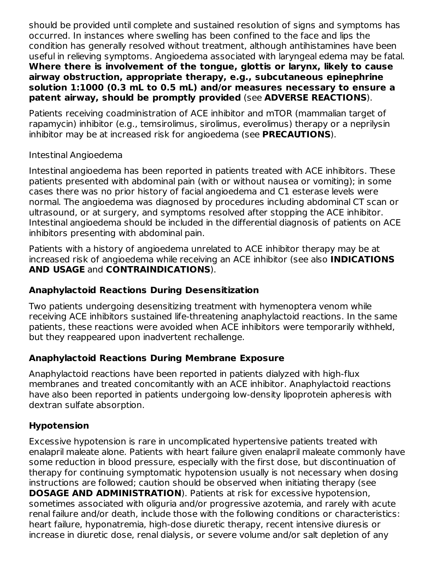should be provided until complete and sustained resolution of signs and symptoms has occurred. In instances where swelling has been confined to the face and lips the condition has generally resolved without treatment, although antihistamines have been useful in relieving symptoms. Angioedema associated with laryngeal edema may be fatal. **Where there is involvement of the tongue, glottis or larynx, likely to cause airway obstruction, appropriate therapy, e.g., subcutaneous epinephrine solution 1:1000 (0.3 mL to 0.5 mL) and/or measures necessary to ensure a patent airway, should be promptly provided** (see **ADVERSE REACTIONS**).

Patients receiving coadministration of ACE inhibitor and mTOR (mammalian target of rapamycin) inhibitor (e.g., temsirolimus, sirolimus, everolimus) therapy or a neprilysin inhibitor may be at increased risk for angioedema (see **PRECAUTIONS**).

### Intestinal Angioedema

Intestinal angioedema has been reported in patients treated with ACE inhibitors. These patients presented with abdominal pain (with or without nausea or vomiting); in some cases there was no prior history of facial angioedema and C1 esterase levels were normal. The angioedema was diagnosed by procedures including abdominal CT scan or ultrasound, or at surgery, and symptoms resolved after stopping the ACE inhibitor. Intestinal angioedema should be included in the differential diagnosis of patients on ACE inhibitors presenting with abdominal pain.

Patients with a history of angioedema unrelated to ACE inhibitor therapy may be at increased risk of angioedema while receiving an ACE inhibitor (see also **INDICATIONS AND USAGE** and **CONTRAINDICATIONS**).

## **Anaphylactoid Reactions During Desensitization**

Two patients undergoing desensitizing treatment with hymenoptera venom while receiving ACE inhibitors sustained life-threatening anaphylactoid reactions. In the same patients, these reactions were avoided when ACE inhibitors were temporarily withheld, but they reappeared upon inadvertent rechallenge.

## **Anaphylactoid Reactions During Membrane Exposure**

Anaphylactoid reactions have been reported in patients dialyzed with high-flux membranes and treated concomitantly with an ACE inhibitor. Anaphylactoid reactions have also been reported in patients undergoing low-density lipoprotein apheresis with dextran sulfate absorption.

## **Hypotension**

Excessive hypotension is rare in uncomplicated hypertensive patients treated with enalapril maleate alone. Patients with heart failure given enalapril maleate commonly have some reduction in blood pressure, especially with the first dose, but discontinuation of therapy for continuing symptomatic hypotension usually is not necessary when dosing instructions are followed; caution should be observed when initiating therapy (see **DOSAGE AND ADMINISTRATION**). Patients at risk for excessive hypotension, sometimes associated with oliguria and/or progressive azotemia, and rarely with acute renal failure and/or death, include those with the following conditions or characteristics: heart failure, hyponatremia, high-dose diuretic therapy, recent intensive diuresis or increase in diuretic dose, renal dialysis, or severe volume and/or salt depletion of any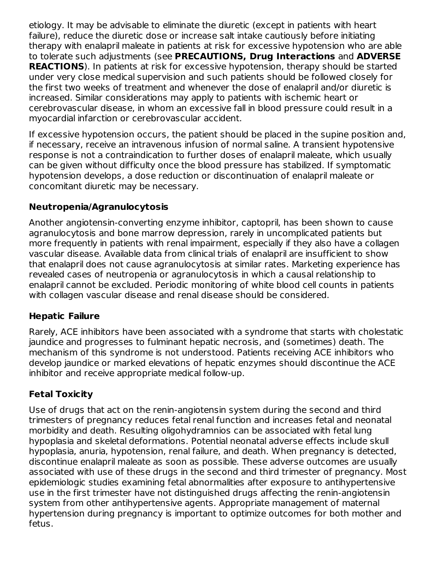etiology. It may be advisable to eliminate the diuretic (except in patients with heart failure), reduce the diuretic dose or increase salt intake cautiously before initiating therapy with enalapril maleate in patients at risk for excessive hypotension who are able to tolerate such adjustments (see **PRECAUTIONS, Drug Interactions** and **ADVERSE REACTIONS**). In patients at risk for excessive hypotension, therapy should be started under very close medical supervision and such patients should be followed closely for the first two weeks of treatment and whenever the dose of enalapril and/or diuretic is increased. Similar considerations may apply to patients with ischemic heart or cerebrovascular disease, in whom an excessive fall in blood pressure could result in a myocardial infarction or cerebrovascular accident.

If excessive hypotension occurs, the patient should be placed in the supine position and, if necessary, receive an intravenous infusion of normal saline. A transient hypotensive response is not a contraindication to further doses of enalapril maleate, which usually can be given without difficulty once the blood pressure has stabilized. If symptomatic hypotension develops, a dose reduction or discontinuation of enalapril maleate or concomitant diuretic may be necessary.

### **Neutropenia/Agranulocytosis**

Another angiotensin-converting enzyme inhibitor, captopril, has been shown to cause agranulocytosis and bone marrow depression, rarely in uncomplicated patients but more frequently in patients with renal impairment, especially if they also have a collagen vascular disease. Available data from clinical trials of enalapril are insufficient to show that enalapril does not cause agranulocytosis at similar rates. Marketing experience has revealed cases of neutropenia or agranulocytosis in which a causal relationship to enalapril cannot be excluded. Periodic monitoring of white blood cell counts in patients with collagen vascular disease and renal disease should be considered.

### **Hepatic Failure**

Rarely, ACE inhibitors have been associated with a syndrome that starts with cholestatic jaundice and progresses to fulminant hepatic necrosis, and (sometimes) death. The mechanism of this syndrome is not understood. Patients receiving ACE inhibitors who develop jaundice or marked elevations of hepatic enzymes should discontinue the ACE inhibitor and receive appropriate medical follow-up.

## **Fetal Toxicity**

Use of drugs that act on the renin-angiotensin system during the second and third trimesters of pregnancy reduces fetal renal function and increases fetal and neonatal morbidity and death. Resulting oligohydramnios can be associated with fetal lung hypoplasia and skeletal deformations. Potential neonatal adverse effects include skull hypoplasia, anuria, hypotension, renal failure, and death. When pregnancy is detected, discontinue enalapril maleate as soon as possible. These adverse outcomes are usually associated with use of these drugs in the second and third trimester of pregnancy. Most epidemiologic studies examining fetal abnormalities after exposure to antihypertensive use in the first trimester have not distinguished drugs affecting the renin-angiotensin system from other antihypertensive agents. Appropriate management of maternal hypertension during pregnancy is important to optimize outcomes for both mother and fetus.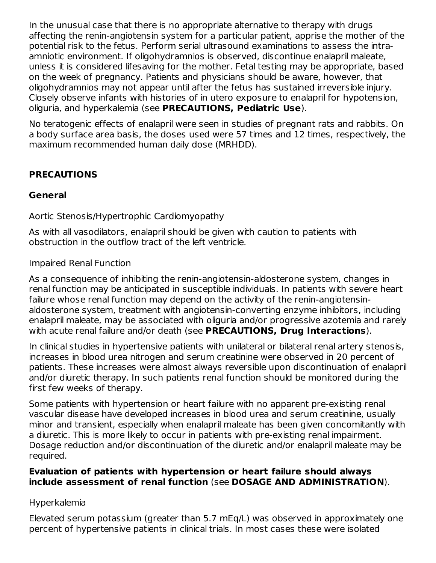In the unusual case that there is no appropriate alternative to therapy with drugs affecting the renin-angiotensin system for a particular patient, apprise the mother of the potential risk to the fetus. Perform serial ultrasound examinations to assess the intraamniotic environment. If oligohydramnios is observed, discontinue enalapril maleate, unless it is considered lifesaving for the mother. Fetal testing may be appropriate, based on the week of pregnancy. Patients and physicians should be aware, however, that oligohydramnios may not appear until after the fetus has sustained irreversible injury. Closely observe infants with histories of in utero exposure to enalapril for hypotension, oliguria, and hyperkalemia (see **PRECAUTIONS, Pediatric Use**).

No teratogenic effects of enalapril were seen in studies of pregnant rats and rabbits. On a body surface area basis, the doses used were 57 times and 12 times, respectively, the maximum recommended human daily dose (MRHDD).

## **PRECAUTIONS**

#### **General**

Aortic Stenosis/Hypertrophic Cardiomyopathy

As with all vasodilators, enalapril should be given with caution to patients with obstruction in the outflow tract of the left ventricle.

#### Impaired Renal Function

As a consequence of inhibiting the renin-angiotensin-aldosterone system, changes in renal function may be anticipated in susceptible individuals. In patients with severe heart failure whose renal function may depend on the activity of the renin-angiotensinaldosterone system, treatment with angiotensin-converting enzyme inhibitors, including enalapril maleate, may be associated with oliguria and/or progressive azotemia and rarely with acute renal failure and/or death (see **PRECAUTIONS, Drug Interactions**).

In clinical studies in hypertensive patients with unilateral or bilateral renal artery stenosis, increases in blood urea nitrogen and serum creatinine were observed in 20 percent of patients. These increases were almost always reversible upon discontinuation of enalapril and/or diuretic therapy. In such patients renal function should be monitored during the first few weeks of therapy.

Some patients with hypertension or heart failure with no apparent pre-existing renal vascular disease have developed increases in blood urea and serum creatinine, usually minor and transient, especially when enalapril maleate has been given concomitantly with a diuretic. This is more likely to occur in patients with pre-existing renal impairment. Dosage reduction and/or discontinuation of the diuretic and/or enalapril maleate may be required.

#### **Evaluation of patients with hypertension or heart failure should always include assessment of renal function** (see **DOSAGE AND ADMINISTRATION**).

#### Hyperkalemia

Elevated serum potassium (greater than 5.7 mEq/L) was observed in approximately one percent of hypertensive patients in clinical trials. In most cases these were isolated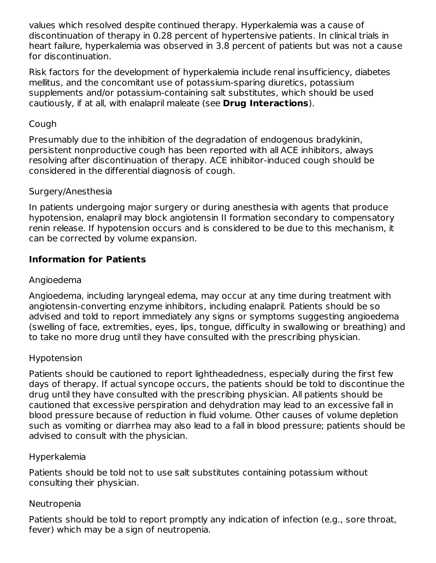values which resolved despite continued therapy. Hyperkalemia was a cause of discontinuation of therapy in 0.28 percent of hypertensive patients. In clinical trials in heart failure, hyperkalemia was observed in 3.8 percent of patients but was not a cause for discontinuation.

Risk factors for the development of hyperkalemia include renal insufficiency, diabetes mellitus, and the concomitant use of potassium-sparing diuretics, potassium supplements and/or potassium-containing salt substitutes, which should be used cautiously, if at all, with enalapril maleate (see **Drug Interactions**).

### Cough

Presumably due to the inhibition of the degradation of endogenous bradykinin, persistent nonproductive cough has been reported with all ACE inhibitors, always resolving after discontinuation of therapy. ACE inhibitor-induced cough should be considered in the differential diagnosis of cough.

### Surgery/Anesthesia

In patients undergoing major surgery or during anesthesia with agents that produce hypotension, enalapril may block angiotensin II formation secondary to compensatory renin release. If hypotension occurs and is considered to be due to this mechanism, it can be corrected by volume expansion.

## **Information for Patients**

### Angioedema

Angioedema, including laryngeal edema, may occur at any time during treatment with angiotensin-converting enzyme inhibitors, including enalapril. Patients should be so advised and told to report immediately any signs or symptoms suggesting angioedema (swelling of face, extremities, eyes, lips, tongue, difficulty in swallowing or breathing) and to take no more drug until they have consulted with the prescribing physician.

### Hypotension

Patients should be cautioned to report lightheadedness, especially during the first few days of therapy. If actual syncope occurs, the patients should be told to discontinue the drug until they have consulted with the prescribing physician. All patients should be cautioned that excessive perspiration and dehydration may lead to an excessive fall in blood pressure because of reduction in fluid volume. Other causes of volume depletion such as vomiting or diarrhea may also lead to a fall in blood pressure; patients should be advised to consult with the physician.

### Hyperkalemia

Patients should be told not to use salt substitutes containing potassium without consulting their physician.

### Neutropenia

Patients should be told to report promptly any indication of infection (e.g., sore throat, fever) which may be a sign of neutropenia.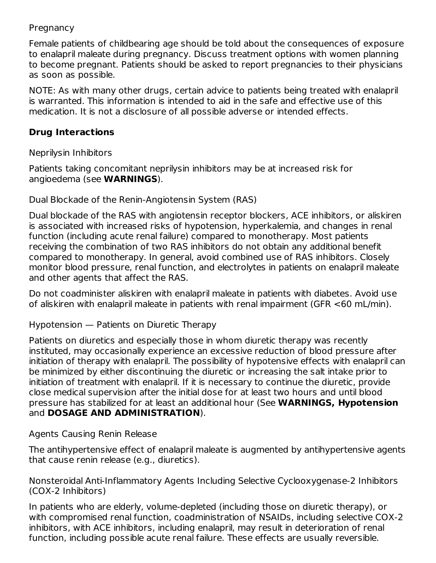#### **Pregnancy**

Female patients of childbearing age should be told about the consequences of exposure to enalapril maleate during pregnancy. Discuss treatment options with women planning to become pregnant. Patients should be asked to report pregnancies to their physicians as soon as possible.

NOTE: As with many other drugs, certain advice to patients being treated with enalapril is warranted. This information is intended to aid in the safe and effective use of this medication. It is not a disclosure of all possible adverse or intended effects.

### **Drug Interactions**

Neprilysin Inhibitors

Patients taking concomitant neprilysin inhibitors may be at increased risk for angioedema (see **WARNINGS**).

Dual Blockade of the Renin-Angiotensin System (RAS)

Dual blockade of the RAS with angiotensin receptor blockers, ACE inhibitors, or aliskiren is associated with increased risks of hypotension, hyperkalemia, and changes in renal function (including acute renal failure) compared to monotherapy. Most patients receiving the combination of two RAS inhibitors do not obtain any additional benefit compared to monotherapy. In general, avoid combined use of RAS inhibitors. Closely monitor blood pressure, renal function, and electrolytes in patients on enalapril maleate and other agents that affect the RAS.

Do not coadminister aliskiren with enalapril maleate in patients with diabetes. Avoid use of aliskiren with enalapril maleate in patients with renal impairment (GFR <60 mL/min).

Hypotension — Patients on Diuretic Therapy

Patients on diuretics and especially those in whom diuretic therapy was recently instituted, may occasionally experience an excessive reduction of blood pressure after initiation of therapy with enalapril. The possibility of hypotensive effects with enalapril can be minimized by either discontinuing the diuretic or increasing the salt intake prior to initiation of treatment with enalapril. If it is necessary to continue the diuretic, provide close medical supervision after the initial dose for at least two hours and until blood pressure has stabilized for at least an additional hour (See **WARNINGS, Hypotension** and **DOSAGE AND ADMINISTRATION**).

Agents Causing Renin Release

The antihypertensive effect of enalapril maleate is augmented by antihypertensive agents that cause renin release (e.g., diuretics).

Nonsteroidal Anti-Inflammatory Agents Including Selective Cyclooxygenase-2 Inhibitors (COX-2 Inhibitors)

In patients who are elderly, volume-depleted (including those on diuretic therapy), or with compromised renal function, coadministration of NSAIDs, including selective COX-2 inhibitors, with ACE inhibitors, including enalapril, may result in deterioration of renal function, including possible acute renal failure. These effects are usually reversible.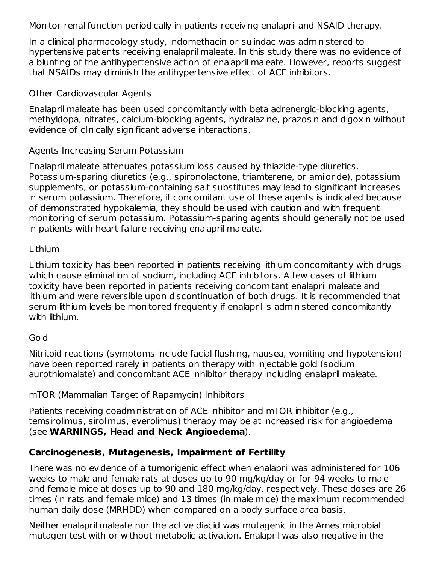Monitor renal function periodically in patients receiving enalapril and NSAID therapy.

In a clinical pharmacology study, indomethacin or sulindac was administered to hypertensive patients receiving enalapril maleate. In this study there was no evidence of a blunting of the antihypertensive action of enalapril maleate. However, reports suggest that NSAIDs may diminish the antihypertensive effect of ACE inhibitors.

### Other Cardiovascular Agents

Enalapril maleate has been used concomitantly with beta adrenergic-blocking agents, methyldopa, nitrates, calcium-blocking agents, hydralazine, prazosin and digoxin without evidence of clinically significant adverse interactions.

### Agents Increasing Serum Potassium

Enalapril maleate attenuates potassium loss caused by thiazide-type diuretics. Potassium-sparing diuretics (e.g., spironolactone, triamterene, or amiloride), potassium supplements, or potassium-containing salt substitutes may lead to significant increases in serum potassium. Therefore, if concomitant use of these agents is indicated because of demonstrated hypokalemia, they should be used with caution and with frequent monitoring of serum potassium. Potassium-sparing agents should generally not be used in patients with heart failure receiving enalapril maleate.

## Lithium

Lithium toxicity has been reported in patients receiving lithium concomitantly with drugs which cause elimination of sodium, including ACE inhibitors. A few cases of lithium toxicity have been reported in patients receiving concomitant enalapril maleate and lithium and were reversible upon discontinuation of both drugs. It is recommended that serum lithium levels be monitored frequently if enalapril is administered concomitantly with lithium.

## Gold

Nitritoid reactions (symptoms include facial flushing, nausea, vomiting and hypotension) have been reported rarely in patients on therapy with injectable gold (sodium aurothiomalate) and concomitant ACE inhibitor therapy including enalapril maleate.

## mTOR (Mammalian Target of Rapamycin) Inhibitors

Patients receiving coadministration of ACE inhibitor and mTOR inhibitor (e.g., temsirolimus, sirolimus, everolimus) therapy may be at increased risk for angioedema (see **WARNINGS, Head and Neck Angioedema**).

## **Carcinogenesis, Mutagenesis, Impairment of Fertility**

There was no evidence of a tumorigenic effect when enalapril was administered for 106 weeks to male and female rats at doses up to 90 mg/kg/day or for 94 weeks to male and female mice at doses up to 90 and 180 mg/kg/day, respectively. These doses are 26 times (in rats and female mice) and 13 times (in male mice) the maximum recommended human daily dose (MRHDD) when compared on a body surface area basis.

Neither enalapril maleate nor the active diacid was mutagenic in the Ames microbial mutagen test with or without metabolic activation. Enalapril was also negative in the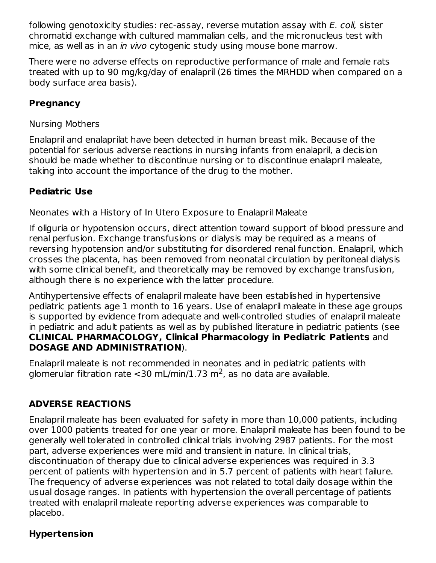following genotoxicity studies: rec-assay, reverse mutation assay with E. coli, sister chromatid exchange with cultured mammalian cells, and the micronucleus test with mice, as well as in an in vivo cytogenic study using mouse bone marrow.

There were no adverse effects on reproductive performance of male and female rats treated with up to 90 mg/kg/day of enalapril (26 times the MRHDD when compared on a body surface area basis).

## **Pregnancy**

Nursing Mothers

Enalapril and enalaprilat have been detected in human breast milk. Because of the potential for serious adverse reactions in nursing infants from enalapril, a decision should be made whether to discontinue nursing or to discontinue enalapril maleate, taking into account the importance of the drug to the mother.

## **Pediatric Use**

Neonates with a History of In Utero Exposure to Enalapril Maleate

If oliguria or hypotension occurs, direct attention toward support of blood pressure and renal perfusion. Exchange transfusions or dialysis may be required as a means of reversing hypotension and/or substituting for disordered renal function. Enalapril, which crosses the placenta, has been removed from neonatal circulation by peritoneal dialysis with some clinical benefit, and theoretically may be removed by exchange transfusion, although there is no experience with the latter procedure.

Antihypertensive effects of enalapril maleate have been established in hypertensive pediatric patients age 1 month to 16 years. Use of enalapril maleate in these age groups is supported by evidence from adequate and well-controlled studies of enalapril maleate in pediatric and adult patients as well as by published literature in pediatric patients (see **CLINICAL PHARMACOLOGY, Clinical Pharmacology in Pediatric Patients** and **DOSAGE AND ADMINISTRATION**).

Enalapril maleate is not recommended in neonates and in pediatric patients with glomerular filtration rate <30 mL/min/1.73 m<sup>2</sup>, as no data are available.

# **ADVERSE REACTIONS**

Enalapril maleate has been evaluated for safety in more than 10,000 patients, including over 1000 patients treated for one year or more. Enalapril maleate has been found to be generally well tolerated in controlled clinical trials involving 2987 patients. For the most part, adverse experiences were mild and transient in nature. In clinical trials, discontinuation of therapy due to clinical adverse experiences was required in 3.3 percent of patients with hypertension and in 5.7 percent of patients with heart failure. The frequency of adverse experiences was not related to total daily dosage within the usual dosage ranges. In patients with hypertension the overall percentage of patients treated with enalapril maleate reporting adverse experiences was comparable to placebo.

## **Hypertension**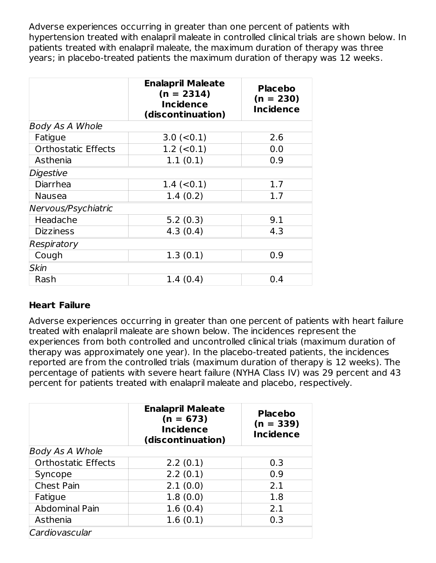Adverse experiences occurring in greater than one percent of patients with hypertension treated with enalapril maleate in controlled clinical trials are shown below. In patients treated with enalapril maleate, the maximum duration of therapy was three years; in placebo-treated patients the maximum duration of therapy was 12 weeks.

|                            | <b>Enalapril Maleate</b><br>$(n = 2314)$<br><b>Incidence</b><br>(discontinuation) | <b>Placebo</b><br>$(n = 230)$<br><b>Incidence</b> |  |  |
|----------------------------|-----------------------------------------------------------------------------------|---------------------------------------------------|--|--|
| <b>Body As A Whole</b>     |                                                                                   |                                                   |  |  |
| Fatigue                    | $3.0 (-0.1)$                                                                      | 2.6                                               |  |  |
| <b>Orthostatic Effects</b> | $1.2 (-0.1)$                                                                      | 0.0                                               |  |  |
| Asthenia                   | 1.1(0.1)                                                                          | 0.9                                               |  |  |
| Digestive                  |                                                                                   |                                                   |  |  |
| <b>Diarrhea</b>            | $1.4 (-0.1)$                                                                      | 1.7                                               |  |  |
| <b>Nausea</b>              | 1.4(0.2)                                                                          | 1.7                                               |  |  |
| Nervous/Psychiatric        |                                                                                   |                                                   |  |  |
| Headache                   | 5.2(0.3)                                                                          | 9.1                                               |  |  |
| <b>Dizziness</b>           | 4.3(0.4)                                                                          | 4.3                                               |  |  |
| Respiratory                |                                                                                   |                                                   |  |  |
| Cough                      | 1.3(0.1)                                                                          | 0.9                                               |  |  |
| Skin                       |                                                                                   |                                                   |  |  |
| Rash                       | 1.4(0.4)                                                                          | 0.4                                               |  |  |

## **Heart Failure**

Adverse experiences occurring in greater than one percent of patients with heart failure treated with enalapril maleate are shown below. The incidences represent the experiences from both controlled and uncontrolled clinical trials (maximum duration of therapy was approximately one year). In the placebo-treated patients, the incidences reported are from the controlled trials (maximum duration of therapy is 12 weeks). The percentage of patients with severe heart failure (NYHA Class IV) was 29 percent and 43 percent for patients treated with enalapril maleate and placebo, respectively.

|                            | <b>Enalapril Maleate</b><br>$(n = 673)$<br><b>Incidence</b><br>(discontinuation) | <b>Placebo</b><br>$(n = 339)$<br><b>Incidence</b> |  |
|----------------------------|----------------------------------------------------------------------------------|---------------------------------------------------|--|
| Body As A Whole            |                                                                                  |                                                   |  |
| <b>Orthostatic Effects</b> | 2.2(0.1)                                                                         | 0.3                                               |  |
| Syncope                    | 2.2(0.1)                                                                         | 0.9                                               |  |
| <b>Chest Pain</b>          | 2.1(0.0)                                                                         | 2.1                                               |  |
| Fatigue                    | 1.8(0.0)                                                                         | 1.8                                               |  |
| <b>Abdominal Pain</b>      | 1.6(0.4)                                                                         | 2.1                                               |  |
| Asthenia                   | 1.6(0.1)                                                                         | 0.3                                               |  |
| Cardiovascular             |                                                                                  |                                                   |  |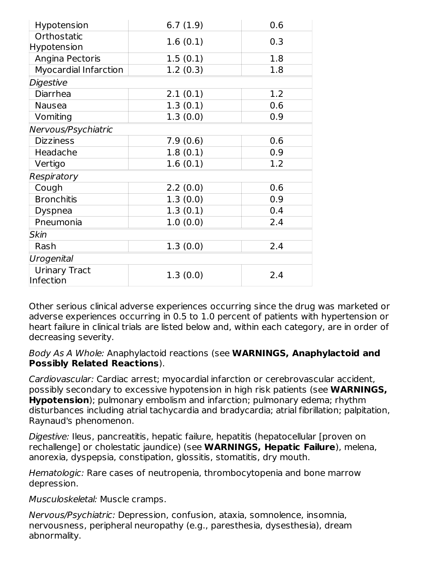| Hypotension                       | 6.7(1.9) | 0.6 |  |  |
|-----------------------------------|----------|-----|--|--|
| Orthostatic                       | 1.6(0.1) | 0.3 |  |  |
| Hypotension                       |          |     |  |  |
| Angina Pectoris                   | 1.5(0.1) | 1.8 |  |  |
| <b>Myocardial Infarction</b>      | 1.2(0.3) | 1.8 |  |  |
| <b>Digestive</b>                  |          |     |  |  |
| Diarrhea                          | 2.1(0.1) | 1.2 |  |  |
| <b>Nausea</b>                     | 1.3(0.1) | 0.6 |  |  |
| Vomiting                          | 1.3(0.0) | 0.9 |  |  |
| Nervous/Psychiatric               |          |     |  |  |
| <b>Dizziness</b>                  | 7.9(0.6) | 0.6 |  |  |
| Headache                          | 1.8(0.1) | 0.9 |  |  |
| Vertigo                           | 1.6(0.1) | 1.2 |  |  |
| Respiratory                       |          |     |  |  |
| Cough                             | 2.2(0.0) | 0.6 |  |  |
| <b>Bronchitis</b>                 | 1.3(0.0) | 0.9 |  |  |
| <b>Dyspnea</b>                    | 1.3(0.1) | 0.4 |  |  |
| Pneumonia                         | 1.0(0.0) | 2.4 |  |  |
| Skin                              |          |     |  |  |
| Rash                              | 1.3(0.0) | 2.4 |  |  |
| Urogenital                        |          |     |  |  |
| <b>Urinary Tract</b><br>Infection | 1.3(0.0) | 2.4 |  |  |

Other serious clinical adverse experiences occurring since the drug was marketed or adverse experiences occurring in 0.5 to 1.0 percent of patients with hypertension or heart failure in clinical trials are listed below and, within each category, are in order of decreasing severity.

Body As A Whole: Anaphylactoid reactions (see **WARNINGS, Anaphylactoid and Possibly Related Reactions**).

Cardiovascular: Cardiac arrest; myocardial infarction or cerebrovascular accident, possibly secondary to excessive hypotension in high risk patients (see **WARNINGS, Hypotension**); pulmonary embolism and infarction; pulmonary edema; rhythm disturbances including atrial tachycardia and bradycardia; atrial fibrillation; palpitation, Raynaud's phenomenon.

Digestive: Ileus, pancreatitis, hepatic failure, hepatitis (hepatocellular [proven on rechallenge] or cholestatic jaundice) (see **WARNINGS, Hepatic Failure**), melena, anorexia, dyspepsia, constipation, glossitis, stomatitis, dry mouth.

Hematologic: Rare cases of neutropenia, thrombocytopenia and bone marrow depression.

Musculoskeletal: Muscle cramps.

Nervous/Psychiatric: Depression, confusion, ataxia, somnolence, insomnia, nervousness, peripheral neuropathy (e.g., paresthesia, dysesthesia), dream abnormality.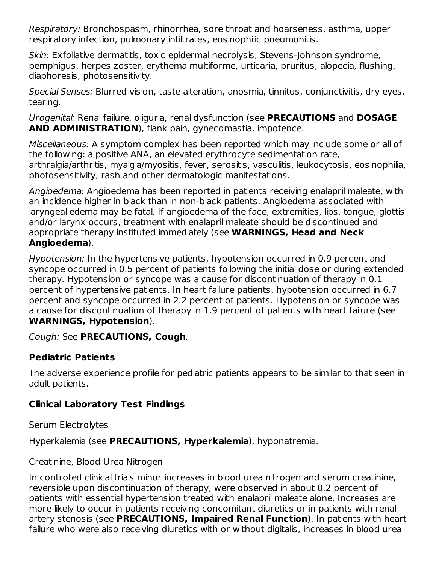Respiratory: Bronchospasm, rhinorrhea, sore throat and hoarseness, asthma, upper respiratory infection, pulmonary infiltrates, eosinophilic pneumonitis.

Skin: Exfoliative dermatitis, toxic epidermal necrolysis, Stevens-Johnson syndrome, pemphigus, herpes zoster, erythema multiforme, urticaria, pruritus, alopecia, flushing, diaphoresis, photosensitivity.

Special Senses: Blurred vision, taste alteration, anosmia, tinnitus, conjunctivitis, dry eyes, tearing.

Urogenital: Renal failure, oliguria, renal dysfunction (see **PRECAUTIONS** and **DOSAGE AND ADMINISTRATION**), flank pain, gynecomastia, impotence.

Miscellaneous: A symptom complex has been reported which may include some or all of the following: a positive ANA, an elevated erythrocyte sedimentation rate, arthralgia/arthritis, myalgia/myositis, fever, serositis, vasculitis, leukocytosis, eosinophilia, photosensitivity, rash and other dermatologic manifestations.

Angioedema: Angioedema has been reported in patients receiving enalapril maleate, with an incidence higher in black than in non-black patients. Angioedema associated with laryngeal edema may be fatal. If angioedema of the face, extremities, lips, tongue, glottis and/or larynx occurs, treatment with enalapril maleate should be discontinued and appropriate therapy instituted immediately (see **WARNINGS, Head and Neck Angioedema**).

Hypotension: In the hypertensive patients, hypotension occurred in 0.9 percent and syncope occurred in 0.5 percent of patients following the initial dose or during extended therapy. Hypotension or syncope was a cause for discontinuation of therapy in 0.1 percent of hypertensive patients. In heart failure patients, hypotension occurred in 6.7 percent and syncope occurred in 2.2 percent of patients. Hypotension or syncope was a cause for discontinuation of therapy in 1.9 percent of patients with heart failure (see **WARNINGS, Hypotension**).

Cough: See **PRECAUTIONS, Cough**.

## **Pediatric Patients**

The adverse experience profile for pediatric patients appears to be similar to that seen in adult patients.

## **Clinical Laboratory Test Findings**

Serum Electrolytes

Hyperkalemia (see **PRECAUTIONS, Hyperkalemia**), hyponatremia.

Creatinine, Blood Urea Nitrogen

In controlled clinical trials minor increases in blood urea nitrogen and serum creatinine, reversible upon discontinuation of therapy, were observed in about 0.2 percent of patients with essential hypertension treated with enalapril maleate alone. Increases are more likely to occur in patients receiving concomitant diuretics or in patients with renal artery stenosis (see **PRECAUTIONS, Impaired Renal Function**). In patients with heart failure who were also receiving diuretics with or without digitalis, increases in blood urea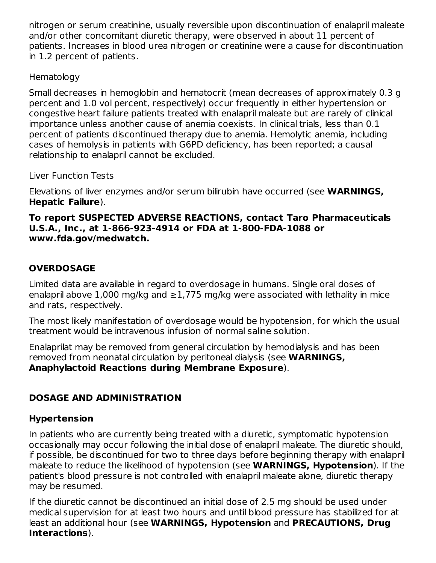nitrogen or serum creatinine, usually reversible upon discontinuation of enalapril maleate and/or other concomitant diuretic therapy, were observed in about 11 percent of patients. Increases in blood urea nitrogen or creatinine were a cause for discontinuation in 1.2 percent of patients.

### Hematology

Small decreases in hemoglobin and hematocrit (mean decreases of approximately 0.3 g percent and 1.0 vol percent, respectively) occur frequently in either hypertension or congestive heart failure patients treated with enalapril maleate but are rarely of clinical importance unless another cause of anemia coexists. In clinical trials, less than 0.1 percent of patients discontinued therapy due to anemia. Hemolytic anemia, including cases of hemolysis in patients with G6PD deficiency, has been reported; a causal relationship to enalapril cannot be excluded.

Liver Function Tests

Elevations of liver enzymes and/or serum bilirubin have occurred (see **WARNINGS, Hepatic Failure**).

#### **To report SUSPECTED ADVERSE REACTIONS, contact Taro Pharmaceuticals U.S.A., Inc., at 1-866-923-4914 or FDA at 1-800-FDA-1088 or www.fda.gov/medwatch.**

## **OVERDOSAGE**

Limited data are available in regard to overdosage in humans. Single oral doses of enalapril above 1,000 mg/kg and  $\geq$ 1,775 mg/kg were associated with lethality in mice and rats, respectively.

The most likely manifestation of overdosage would be hypotension, for which the usual treatment would be intravenous infusion of normal saline solution.

Enalaprilat may be removed from general circulation by hemodialysis and has been removed from neonatal circulation by peritoneal dialysis (see **WARNINGS, Anaphylactoid Reactions during Membrane Exposure**).

## **DOSAGE AND ADMINISTRATION**

## **Hypertension**

In patients who are currently being treated with a diuretic, symptomatic hypotension occasionally may occur following the initial dose of enalapril maleate. The diuretic should, if possible, be discontinued for two to three days before beginning therapy with enalapril maleate to reduce the likelihood of hypotension (see **WARNINGS, Hypotension**). If the patient's blood pressure is not controlled with enalapril maleate alone, diuretic therapy may be resumed.

If the diuretic cannot be discontinued an initial dose of 2.5 mg should be used under medical supervision for at least two hours and until blood pressure has stabilized for at least an additional hour (see **WARNINGS, Hypotension** and **PRECAUTIONS, Drug Interactions**).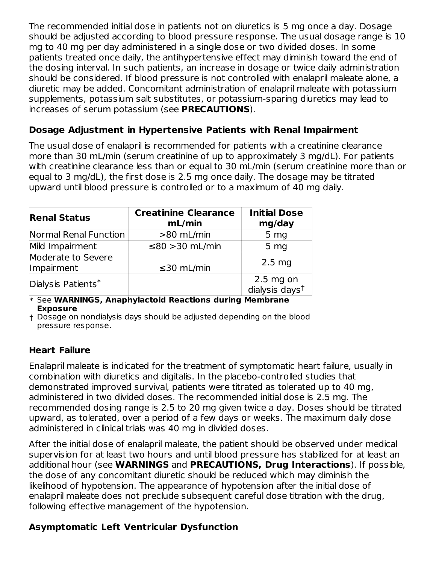The recommended initial dose in patients not on diuretics is 5 mg once a day. Dosage should be adjusted according to blood pressure response. The usual dosage range is 10 mg to 40 mg per day administered in a single dose or two divided doses. In some patients treated once daily, the antihypertensive effect may diminish toward the end of the dosing interval. In such patients, an increase in dosage or twice daily administration should be considered. If blood pressure is not controlled with enalapril maleate alone, a diuretic may be added. Concomitant administration of enalapril maleate with potassium supplements, potassium salt substitutes, or potassium-sparing diuretics may lead to increases of serum potassium (see **PRECAUTIONS**).

## **Dosage Adjustment in Hypertensive Patients with Renal Impairment**

The usual dose of enalapril is recommended for patients with a creatinine clearance more than 30 mL/min (serum creatinine of up to approximately 3 mg/dL). For patients with creatinine clearance less than or equal to 30 mL/min (serum creatinine more than or equal to 3 mg/dL), the first dose is 2.5 mg once daily. The dosage may be titrated upward until blood pressure is controlled or to a maximum of 40 mg daily.

| <b>Renal Status</b>              | <b>Creatinine Clearance</b><br>mL/min | <b>Initial Dose</b><br>mg/day           |  |
|----------------------------------|---------------------------------------|-----------------------------------------|--|
| Normal Renal Function            | $>80$ mL/min                          | 5 <sub>mg</sub>                         |  |
| Mild Impairment                  | $≤80>30$ mL/min                       | 5 <sub>mg</sub>                         |  |
| Moderate to Severe<br>Impairment | $\leq$ 30 mL/min                      | $2.5 \text{ mg}$                        |  |
| Dialysis Patients*               |                                       | 2.5 mg on<br>dialysis days <sup>t</sup> |  |

#### \* See **WARNINGS, Anaphylactoid Reactions during Membrane Exposure**

† Dosage on nondialysis days should be adjusted depending on the blood pressure response.

## **Heart Failure**

Enalapril maleate is indicated for the treatment of symptomatic heart failure, usually in combination with diuretics and digitalis. In the placebo-controlled studies that demonstrated improved survival, patients were titrated as tolerated up to 40 mg, administered in two divided doses. The recommended initial dose is 2.5 mg. The recommended dosing range is 2.5 to 20 mg given twice a day. Doses should be titrated upward, as tolerated, over a period of a few days or weeks. The maximum daily dose administered in clinical trials was 40 mg in divided doses.

After the initial dose of enalapril maleate, the patient should be observed under medical supervision for at least two hours and until blood pressure has stabilized for at least an additional hour (see **WARNINGS** and **PRECAUTIONS, Drug Interactions**). If possible, the dose of any concomitant diuretic should be reduced which may diminish the likelihood of hypotension. The appearance of hypotension after the initial dose of enalapril maleate does not preclude subsequent careful dose titration with the drug, following effective management of the hypotension.

## **Asymptomatic Left Ventricular Dysfunction**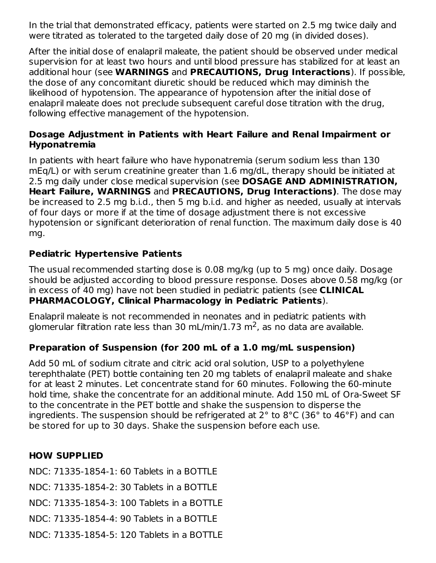In the trial that demonstrated efficacy, patients were started on 2.5 mg twice daily and were titrated as tolerated to the targeted daily dose of 20 mg (in divided doses).

After the initial dose of enalapril maleate, the patient should be observed under medical supervision for at least two hours and until blood pressure has stabilized for at least an additional hour (see **WARNINGS** and **PRECAUTIONS, Drug Interactions**). If possible, the dose of any concomitant diuretic should be reduced which may diminish the likelihood of hypotension. The appearance of hypotension after the initial dose of enalapril maleate does not preclude subsequent careful dose titration with the drug, following effective management of the hypotension.

### **Dosage Adjustment in Patients with Heart Failure and Renal Impairment or Hyponatremia**

In patients with heart failure who have hyponatremia (serum sodium less than 130 mEq/L) or with serum creatinine greater than 1.6 mg/dL, therapy should be initiated at 2.5 mg daily under close medical supervision (see **DOSAGE AND ADMINISTRATION, Heart Failure, WARNINGS** and **PRECAUTIONS, Drug Interactions)**. The dose may be increased to 2.5 mg b.i.d., then 5 mg b.i.d. and higher as needed, usually at intervals of four days or more if at the time of dosage adjustment there is not excessive hypotension or significant deterioration of renal function. The maximum daily dose is 40 mg.

### **Pediatric Hypertensive Patients**

The usual recommended starting dose is 0.08 mg/kg (up to 5 mg) once daily. Dosage should be adjusted according to blood pressure response. Doses above 0.58 mg/kg (or in excess of 40 mg) have not been studied in pediatric patients (see **CLINICAL PHARMACOLOGY, Clinical Pharmacology in Pediatric Patients**).

Enalapril maleate is not recommended in neonates and in pediatric patients with glomerular filtration rate less than 30 mL/min/1.73 m<sup>2</sup>, as no data are available.

## **Preparation of Suspension (for 200 mL of a 1.0 mg/mL suspension)**

Add 50 mL of sodium citrate and citric acid oral solution, USP to a polyethylene terephthalate (PET) bottle containing ten 20 mg tablets of enalapril maleate and shake for at least 2 minutes. Let concentrate stand for 60 minutes. Following the 60-minute hold time, shake the concentrate for an additional minute. Add 150 mL of Ora-Sweet SF to the concentrate in the PET bottle and shake the suspension to disperse the ingredients. The suspension should be refrigerated at 2° to 8°C (36° to 46°F) and can be stored for up to 30 days. Shake the suspension before each use.

## **HOW SUPPLIED**

NDC: 71335-1854-1: 60 Tablets in a BOTTLE NDC: 71335-1854-2: 30 Tablets in a BOTTLE

NDC: 71335-1854-3: 100 Tablets in a BOTTLE

NDC: 71335-1854-4: 90 Tablets in a BOTTLE

NDC: 71335-1854-5: 120 Tablets in a BOTTLE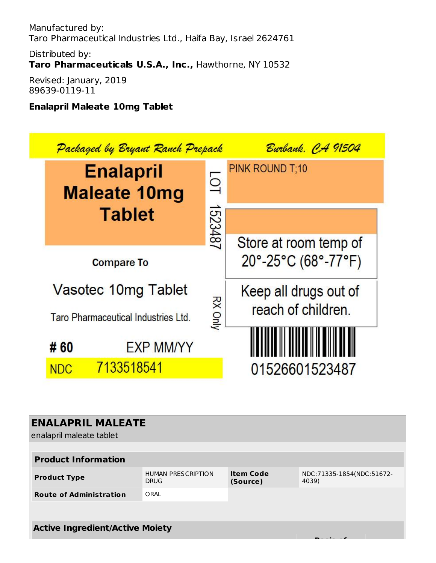Manufactured by: Taro Pharmaceutical Industries Ltd., Haifa Bay, Israel 2624761

Distributed by: **Taro Pharmaceuticals U.S.A., Inc.,** Hawthorne, NY 10532

Revised: January, 2019 89639-0119-11

## **Enalapril Maleate 10mg Tablet**

|                    | Packaged by Bryant Ranch Prepack                           |                | Burbank, CA 91504                                      |
|--------------------|------------------------------------------------------------|----------------|--------------------------------------------------------|
|                    | <b>Enalapril</b><br><b>Maleate 10mg</b><br><b>Tablet</b>   | $\overline{O}$ | PINK ROUND T;10                                        |
|                    | <b>Compare To</b>                                          | 1523487        | Store at room temp of<br>$20^{\circ}$ -25°C (68°-77°F) |
|                    | Vasotec 10mg Tablet<br>Taro Pharmaceutical Industries Ltd. | <b>RX Only</b> | Keep all drugs out of<br>reach of children.            |
| # 60<br><b>NDC</b> | <b>EXP MM/YY</b><br>7133518541                             |                | 01526601523487                                         |

| <b>ENALAPRIL MALEATE</b><br>enalapril maleate tablet |                                          |                              |                                    |  |  |
|------------------------------------------------------|------------------------------------------|------------------------------|------------------------------------|--|--|
| <b>Product Information</b>                           |                                          |                              |                                    |  |  |
|                                                      |                                          |                              |                                    |  |  |
| <b>Product Type</b>                                  | <b>HUMAN PRESCRIPTION</b><br><b>DRUG</b> | <b>Item Code</b><br>(Source) | NDC:71335-1854(NDC:51672-<br>4039) |  |  |
| <b>Route of Administration</b>                       | ORAL                                     |                              |                                    |  |  |
|                                                      |                                          |                              |                                    |  |  |
| <b>Active Ingredient/Active Moiety</b>               |                                          |                              |                                    |  |  |
|                                                      |                                          |                              |                                    |  |  |